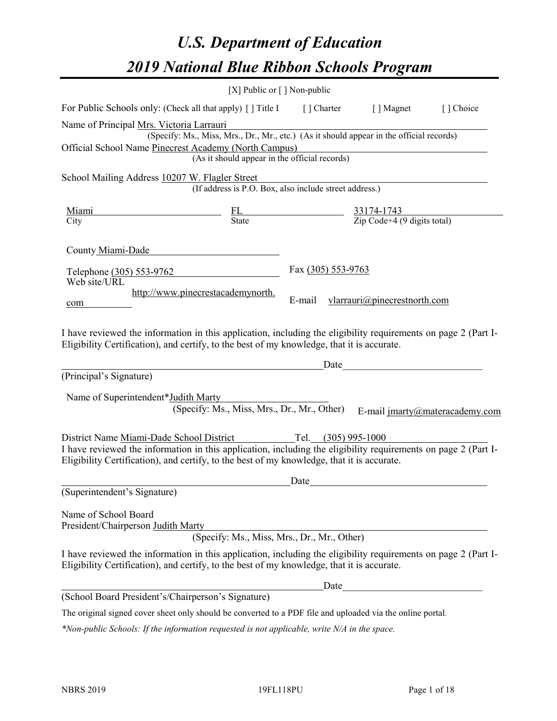# *U.S. Department of Education 2019 National Blue Ribbon Schools Program*

|                                                                                                                                                                                                                                                                                                 | [X] Public or $\lceil$ ] Non-public                                                                                                       |                       |                              |                                |
|-------------------------------------------------------------------------------------------------------------------------------------------------------------------------------------------------------------------------------------------------------------------------------------------------|-------------------------------------------------------------------------------------------------------------------------------------------|-----------------------|------------------------------|--------------------------------|
| For Public Schools only: (Check all that apply) [] Title I [] Charter [] Magnet                                                                                                                                                                                                                 |                                                                                                                                           |                       |                              | [] Choice                      |
| Name of Principal Mrs. Victoria Larrauri<br>Official School Name Pinecrest Academy (North Campus)                                                                                                                                                                                               | (Specify: Ms., Miss, Mrs., Dr., Mr., etc.) (As it should appear in the official records)<br>(As it should appear in the official records) |                       |                              |                                |
| School Mailing Address 10207 W. Flagler Street                                                                                                                                                                                                                                                  | (If address is P.O. Box, also include street address.)                                                                                    |                       |                              |                                |
| <u>Miami</u><br>City                                                                                                                                                                                                                                                                            | $\frac{FL}{State}$ $\frac{33174-1743}{Zip Code+4 (9 digits total)}$                                                                       |                       |                              |                                |
| County Miami-Dade                                                                                                                                                                                                                                                                               |                                                                                                                                           |                       |                              |                                |
| Telephone (305) 553-9762<br>Web site/URL                                                                                                                                                                                                                                                        |                                                                                                                                           | Fax (305) 553-9763    |                              |                                |
| com                                                                                                                                                                                                                                                                                             | http://www.pinecrestacademynorth.                                                                                                         | E-mail                | vlarrauri@pinecrestnorth.com |                                |
| I have reviewed the information in this application, including the eligibility requirements on page 2 (Part I-<br>Eligibility Certification), and certify, to the best of my knowledge, that it is accurate.                                                                                    |                                                                                                                                           |                       |                              |                                |
| (Principal's Signature)                                                                                                                                                                                                                                                                         |                                                                                                                                           | Date                  |                              |                                |
| Name of Superintendent*Judith Marty<br>District Name Miami-Dade School District<br>I have reviewed the information in this application, including the eligibility requirements on page 2 (Part I-<br>Eligibility Certification), and certify, to the best of my knowledge, that it is accurate. | (Specify: Ms., Miss, Mrs., Dr., Mr., Other)                                                                                               | Tel. $(305)$ 995-1000 |                              | E-mail jmarty@materacademy.com |
|                                                                                                                                                                                                                                                                                                 |                                                                                                                                           | Date                  |                              |                                |
| (Superintendent's Signature)                                                                                                                                                                                                                                                                    |                                                                                                                                           |                       |                              |                                |
| Name of School Board<br>President/Chairperson Judith Marty                                                                                                                                                                                                                                      | (Specify: Ms., Miss, Mrs., Dr., Mr., Other)                                                                                               |                       |                              |                                |
| I have reviewed the information in this application, including the eligibility requirements on page 2 (Part I-<br>Eligibility Certification), and certify, to the best of my knowledge, that it is accurate.                                                                                    |                                                                                                                                           |                       |                              |                                |
|                                                                                                                                                                                                                                                                                                 |                                                                                                                                           | Date                  |                              |                                |
| (School Board President's/Chairperson's Signature)                                                                                                                                                                                                                                              |                                                                                                                                           |                       |                              |                                |
| The original signed cover sheet only should be converted to a PDF file and uploaded via the online portal.                                                                                                                                                                                      |                                                                                                                                           |                       |                              |                                |

*\*Non-public Schools: If the information requested is not applicable, write N/A in the space.*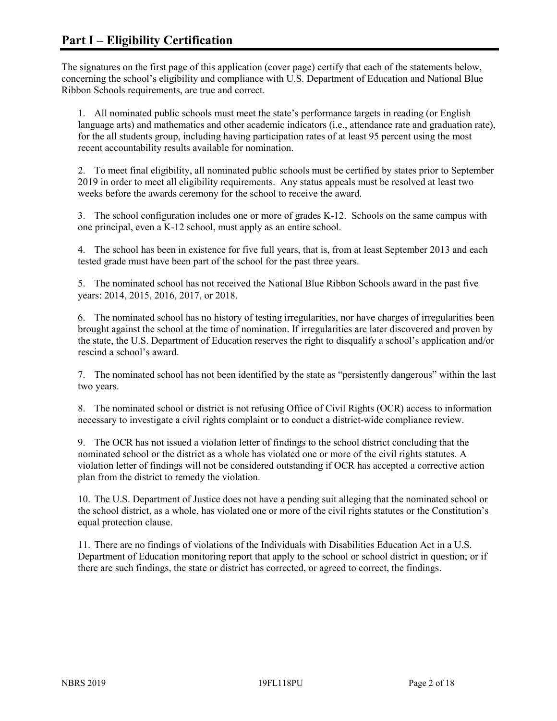The signatures on the first page of this application (cover page) certify that each of the statements below, concerning the school's eligibility and compliance with U.S. Department of Education and National Blue Ribbon Schools requirements, are true and correct.

1. All nominated public schools must meet the state's performance targets in reading (or English language arts) and mathematics and other academic indicators (i.e., attendance rate and graduation rate), for the all students group, including having participation rates of at least 95 percent using the most recent accountability results available for nomination.

2. To meet final eligibility, all nominated public schools must be certified by states prior to September 2019 in order to meet all eligibility requirements. Any status appeals must be resolved at least two weeks before the awards ceremony for the school to receive the award.

3. The school configuration includes one or more of grades K-12. Schools on the same campus with one principal, even a K-12 school, must apply as an entire school.

4. The school has been in existence for five full years, that is, from at least September 2013 and each tested grade must have been part of the school for the past three years.

5. The nominated school has not received the National Blue Ribbon Schools award in the past five years: 2014, 2015, 2016, 2017, or 2018.

6. The nominated school has no history of testing irregularities, nor have charges of irregularities been brought against the school at the time of nomination. If irregularities are later discovered and proven by the state, the U.S. Department of Education reserves the right to disqualify a school's application and/or rescind a school's award.

7. The nominated school has not been identified by the state as "persistently dangerous" within the last two years.

8. The nominated school or district is not refusing Office of Civil Rights (OCR) access to information necessary to investigate a civil rights complaint or to conduct a district-wide compliance review.

9. The OCR has not issued a violation letter of findings to the school district concluding that the nominated school or the district as a whole has violated one or more of the civil rights statutes. A violation letter of findings will not be considered outstanding if OCR has accepted a corrective action plan from the district to remedy the violation.

10. The U.S. Department of Justice does not have a pending suit alleging that the nominated school or the school district, as a whole, has violated one or more of the civil rights statutes or the Constitution's equal protection clause.

11. There are no findings of violations of the Individuals with Disabilities Education Act in a U.S. Department of Education monitoring report that apply to the school or school district in question; or if there are such findings, the state or district has corrected, or agreed to correct, the findings.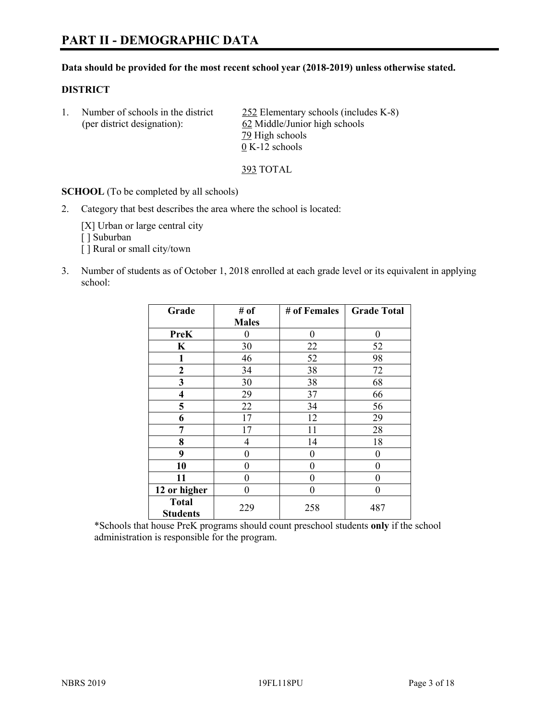# **PART II - DEMOGRAPHIC DATA**

#### **Data should be provided for the most recent school year (2018-2019) unless otherwise stated.**

#### **DISTRICT**

1. Number of schools in the district  $252$  Elementary schools (includes K-8) (per district designation): 62 Middle/Junior high schools 79 High schools 0 K-12 schools

393 TOTAL

**SCHOOL** (To be completed by all schools)

2. Category that best describes the area where the school is located:

[X] Urban or large central city [ ] Suburban [] Rural or small city/town

3. Number of students as of October 1, 2018 enrolled at each grade level or its equivalent in applying school:

| Grade                   | # of         | # of Females | <b>Grade Total</b> |
|-------------------------|--------------|--------------|--------------------|
|                         | <b>Males</b> |              |                    |
| <b>PreK</b>             | 0            | $\theta$     | 0                  |
| $\mathbf K$             | 30           | 22           | 52                 |
| 1                       | 46           | 52           | 98                 |
| 2                       | 34           | 38           | 72                 |
| 3                       | 30           | 38           | 68                 |
| $\overline{\mathbf{4}}$ | 29           | 37           | 66                 |
| 5                       | 22           | 34           | 56                 |
| 6                       | 17           | 12           | 29                 |
| 7                       | 17           | 11           | 28                 |
| 8                       | 4            | 14           | 18                 |
| 9                       | 0            | $\theta$     | 0                  |
| 10                      | 0            | $\theta$     | 0                  |
| 11                      | 0            | $\theta$     | 0                  |
| 12 or higher            | 0            | 0            | 0                  |
| <b>Total</b>            | 229          | 258          | 487                |
| <b>Students</b>         |              |              |                    |

\*Schools that house PreK programs should count preschool students **only** if the school administration is responsible for the program.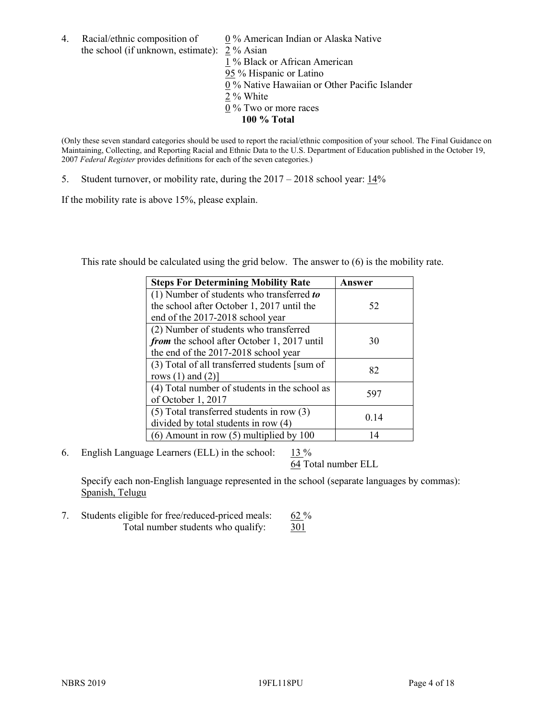4. Racial/ethnic composition of  $0\%$  American Indian or Alaska Native the school (if unknown, estimate): 2 % Asian 1 % Black or African American 95 % Hispanic or Latino

 $\overline{0\%}$  Native Hawaiian or Other Pacific Islander

- $2\%$  White
- 0 % Two or more races
	- **100 % Total**

(Only these seven standard categories should be used to report the racial/ethnic composition of your school. The Final Guidance on Maintaining, Collecting, and Reporting Racial and Ethnic Data to the U.S. Department of Education published in the October 19, 2007 *Federal Register* provides definitions for each of the seven categories.)

5. Student turnover, or mobility rate, during the 2017 – 2018 school year: 14%

If the mobility rate is above 15%, please explain.

This rate should be calculated using the grid below. The answer to (6) is the mobility rate.

| <b>Steps For Determining Mobility Rate</b>    | Answer |
|-----------------------------------------------|--------|
| (1) Number of students who transferred to     |        |
| the school after October 1, 2017 until the    | 52     |
| end of the 2017-2018 school year              |        |
| (2) Number of students who transferred        |        |
| from the school after October 1, 2017 until   | 30     |
| the end of the 2017-2018 school year          |        |
| (3) Total of all transferred students [sum of |        |
| rows $(1)$ and $(2)$ ]                        | 82     |
| (4) Total number of students in the school as |        |
| of October 1, 2017                            | 597    |
| $(5)$ Total transferred students in row $(3)$ |        |
| divided by total students in row (4)          | 0.14   |
| $(6)$ Amount in row $(5)$ multiplied by 100   |        |

6. English Language Learners (ELL) in the school:  $13\%$ 

64 Total number ELL

Specify each non-English language represented in the school (separate languages by commas): Spanish, Telugu

7. Students eligible for free/reduced-priced meals: 62 % Total number students who qualify: 301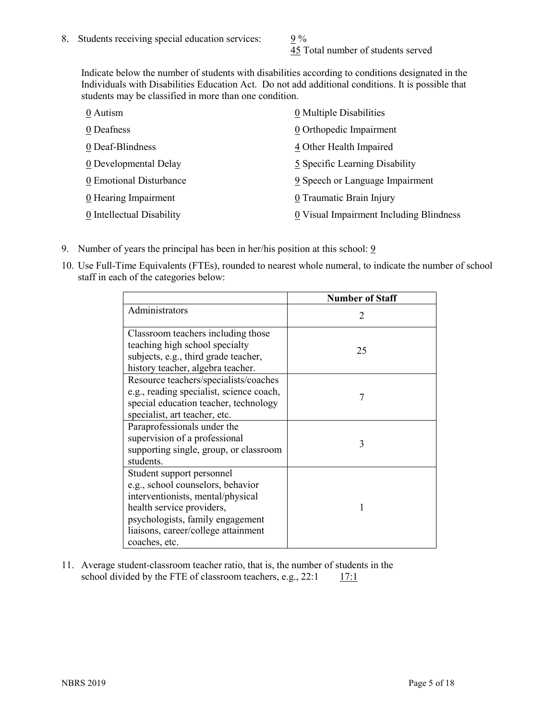45 Total number of students served

Indicate below the number of students with disabilities according to conditions designated in the Individuals with Disabilities Education Act. Do not add additional conditions. It is possible that students may be classified in more than one condition.

| 0 Autism                           | 0 Multiple Disabilities                 |
|------------------------------------|-----------------------------------------|
| 0 Deafness                         | 0 Orthopedic Impairment                 |
| 0 Deaf-Blindness                   | 4 Other Health Impaired                 |
| 0 Developmental Delay              | 5 Specific Learning Disability          |
| 0 Emotional Disturbance            | 9 Speech or Language Impairment         |
| $\underline{0}$ Hearing Impairment | 0 Traumatic Brain Injury                |
| 0 Intellectual Disability          | 0 Visual Impairment Including Blindness |

- 9. Number of years the principal has been in her/his position at this school:  $9$
- 10. Use Full-Time Equivalents (FTEs), rounded to nearest whole numeral, to indicate the number of school staff in each of the categories below:

|                                                                                                                                                                                                                              | <b>Number of Staff</b>      |
|------------------------------------------------------------------------------------------------------------------------------------------------------------------------------------------------------------------------------|-----------------------------|
| Administrators                                                                                                                                                                                                               | $\mathcal{D}_{\mathcal{A}}$ |
| Classroom teachers including those<br>teaching high school specialty<br>subjects, e.g., third grade teacher,<br>history teacher, algebra teacher.                                                                            | 25                          |
| Resource teachers/specialists/coaches<br>e.g., reading specialist, science coach,<br>special education teacher, technology<br>specialist, art teacher, etc.                                                                  |                             |
| Paraprofessionals under the<br>supervision of a professional<br>supporting single, group, or classroom<br>students.                                                                                                          | 3                           |
| Student support personnel<br>e.g., school counselors, behavior<br>interventionists, mental/physical<br>health service providers,<br>psychologists, family engagement<br>liaisons, career/college attainment<br>coaches, etc. |                             |

11. Average student-classroom teacher ratio, that is, the number of students in the school divided by the FTE of classroom teachers, e.g.,  $22:1$  17:1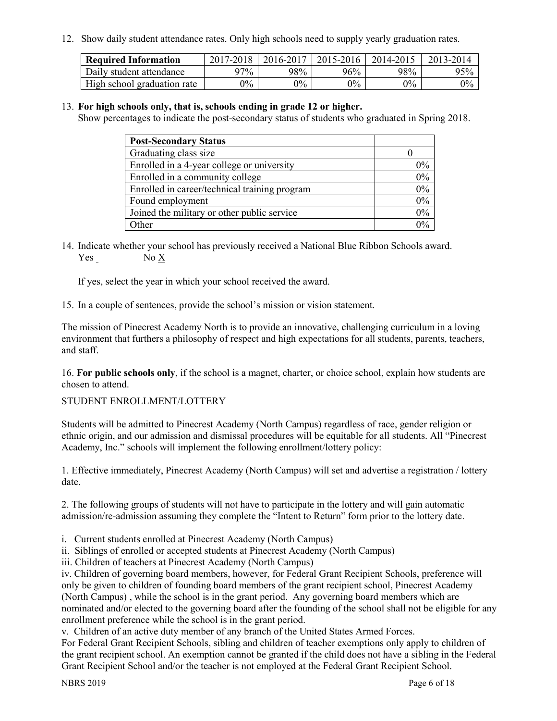12. Show daily student attendance rates. Only high schools need to supply yearly graduation rates.

| <b>Required Information</b> | 2017-2018 | 2016-2017 | $2015 - 2016$ | 2014-2015 | 2013-2014 |
|-----------------------------|-----------|-----------|---------------|-----------|-----------|
| Daily student attendance    | 97%       | 98%       | 96%           | 98%       | 95%       |
| High school graduation rate | $0\%$     | $0\%$     | $0\%$         | $9\%$     | $0\%$     |

### 13. **For high schools only, that is, schools ending in grade 12 or higher.**

Show percentages to indicate the post-secondary status of students who graduated in Spring 2018.

| <b>Post-Secondary Status</b>                  |       |
|-----------------------------------------------|-------|
| Graduating class size                         |       |
| Enrolled in a 4-year college or university    | $0\%$ |
| Enrolled in a community college               | 0%    |
| Enrolled in career/technical training program | 0%    |
| Found employment                              | 0%    |
| Joined the military or other public service   | 0%    |
| Other                                         | በ%    |

14. Indicate whether your school has previously received a National Blue Ribbon Schools award. Yes No X

If yes, select the year in which your school received the award.

15. In a couple of sentences, provide the school's mission or vision statement.

The mission of Pinecrest Academy North is to provide an innovative, challenging curriculum in a loving environment that furthers a philosophy of respect and high expectations for all students, parents, teachers, and staff.

16. **For public schools only**, if the school is a magnet, charter, or choice school, explain how students are chosen to attend.

#### STUDENT ENROLLMENT/LOTTERY

Students will be admitted to Pinecrest Academy (North Campus) regardless of race, gender religion or ethnic origin, and our admission and dismissal procedures will be equitable for all students. All "Pinecrest Academy, Inc." schools will implement the following enrollment/lottery policy:

1. Effective immediately, Pinecrest Academy (North Campus) will set and advertise a registration / lottery date.

2. The following groups of students will not have to participate in the lottery and will gain automatic admission/re-admission assuming they complete the "Intent to Return" form prior to the lottery date.

i. Current students enrolled at Pinecrest Academy (North Campus)

ii. Siblings of enrolled or accepted students at Pinecrest Academy (North Campus)

iii. Children of teachers at Pinecrest Academy (North Campus)

iv. Children of governing board members, however, for Federal Grant Recipient Schools, preference will only be given to children of founding board members of the grant recipient school, Pinecrest Academy (North Campus) , while the school is in the grant period. Any governing board members which are nominated and/or elected to the governing board after the founding of the school shall not be eligible for any enrollment preference while the school is in the grant period.

v. Children of an active duty member of any branch of the United States Armed Forces.

For Federal Grant Recipient Schools, sibling and children of teacher exemptions only apply to children of the grant recipient school. An exemption cannot be granted if the child does not have a sibling in the Federal Grant Recipient School and/or the teacher is not employed at the Federal Grant Recipient School.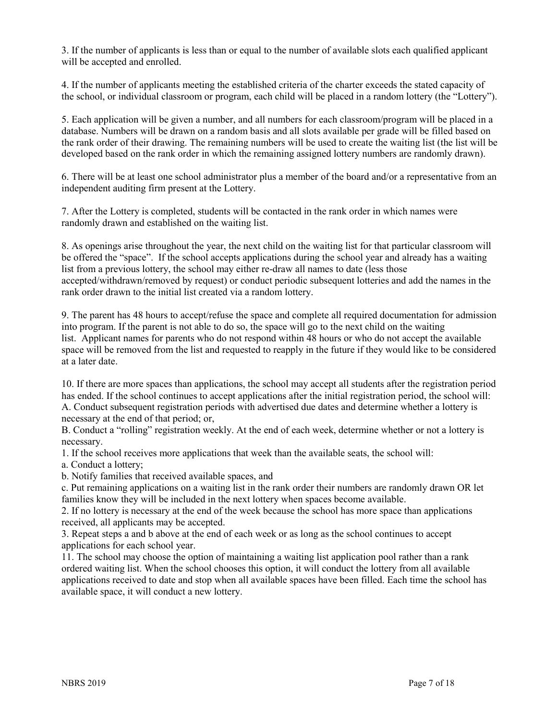3. If the number of applicants is less than or equal to the number of available slots each qualified applicant will be accepted and enrolled.

4. If the number of applicants meeting the established criteria of the charter exceeds the stated capacity of the school, or individual classroom or program, each child will be placed in a random lottery (the "Lottery").

5. Each application will be given a number, and all numbers for each classroom/program will be placed in a database. Numbers will be drawn on a random basis and all slots available per grade will be filled based on the rank order of their drawing. The remaining numbers will be used to create the waiting list (the list will be developed based on the rank order in which the remaining assigned lottery numbers are randomly drawn).

6. There will be at least one school administrator plus a member of the board and/or a representative from an independent auditing firm present at the Lottery.

7. After the Lottery is completed, students will be contacted in the rank order in which names were randomly drawn and established on the waiting list.

8. As openings arise throughout the year, the next child on the waiting list for that particular classroom will be offered the "space". If the school accepts applications during the school year and already has a waiting list from a previous lottery, the school may either re-draw all names to date (less those accepted/withdrawn/removed by request) or conduct periodic subsequent lotteries and add the names in the rank order drawn to the initial list created via a random lottery.

9. The parent has 48 hours to accept/refuse the space and complete all required documentation for admission into program. If the parent is not able to do so, the space will go to the next child on the waiting list. Applicant names for parents who do not respond within 48 hours or who do not accept the available space will be removed from the list and requested to reapply in the future if they would like to be considered at a later date.

10. If there are more spaces than applications, the school may accept all students after the registration period has ended. If the school continues to accept applications after the initial registration period, the school will: A. Conduct subsequent registration periods with advertised due dates and determine whether a lottery is necessary at the end of that period; or,

B. Conduct a "rolling" registration weekly. At the end of each week, determine whether or not a lottery is necessary.

1. If the school receives more applications that week than the available seats, the school will:

a. Conduct a lottery;

b. Notify families that received available spaces, and

c. Put remaining applications on a waiting list in the rank order their numbers are randomly drawn OR let families know they will be included in the next lottery when spaces become available.

2. If no lottery is necessary at the end of the week because the school has more space than applications received, all applicants may be accepted.

3. Repeat steps a and b above at the end of each week or as long as the school continues to accept applications for each school year.

11. The school may choose the option of maintaining a waiting list application pool rather than a rank ordered waiting list. When the school chooses this option, it will conduct the lottery from all available applications received to date and stop when all available spaces have been filled. Each time the school has available space, it will conduct a new lottery.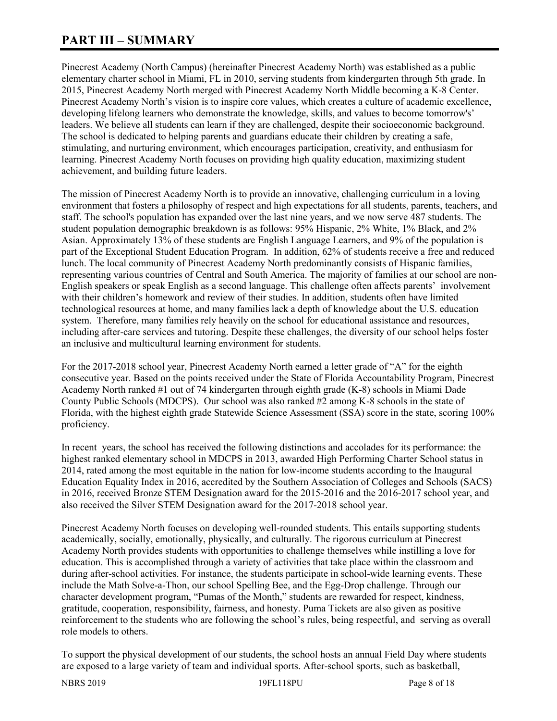# **PART III – SUMMARY**

Pinecrest Academy (North Campus) (hereinafter Pinecrest Academy North) was established as a public elementary charter school in Miami, FL in 2010, serving students from kindergarten through 5th grade. In 2015, Pinecrest Academy North merged with Pinecrest Academy North Middle becoming a K-8 Center. Pinecrest Academy North's vision is to inspire core values, which creates a culture of academic excellence, developing lifelong learners who demonstrate the knowledge, skills, and values to become tomorrow's' leaders. We believe all students can learn if they are challenged, despite their socioeconomic background. The school is dedicated to helping parents and guardians educate their children by creating a safe, stimulating, and nurturing environment, which encourages participation, creativity, and enthusiasm for learning. Pinecrest Academy North focuses on providing high quality education, maximizing student achievement, and building future leaders.

The mission of Pinecrest Academy North is to provide an innovative, challenging curriculum in a loving environment that fosters a philosophy of respect and high expectations for all students, parents, teachers, and staff. The school's population has expanded over the last nine years, and we now serve 487 students. The student population demographic breakdown is as follows: 95% Hispanic, 2% White, 1% Black, and 2% Asian. Approximately 13% of these students are English Language Learners, and 9% of the population is part of the Exceptional Student Education Program. In addition, 62% of students receive a free and reduced lunch. The local community of Pinecrest Academy North predominantly consists of Hispanic families, representing various countries of Central and South America. The majority of families at our school are non-English speakers or speak English as a second language. This challenge often affects parents' involvement with their children's homework and review of their studies. In addition, students often have limited technological resources at home, and many families lack a depth of knowledge about the U.S. education system. Therefore, many families rely heavily on the school for educational assistance and resources, including after-care services and tutoring. Despite these challenges, the diversity of our school helps foster an inclusive and multicultural learning environment for students.

For the 2017-2018 school year, Pinecrest Academy North earned a letter grade of "A" for the eighth consecutive year. Based on the points received under the State of Florida Accountability Program, Pinecrest Academy North ranked #1 out of 74 kindergarten through eighth grade (K-8) schools in Miami Dade County Public Schools (MDCPS). Our school was also ranked #2 among K-8 schools in the state of Florida, with the highest eighth grade Statewide Science Assessment (SSA) score in the state, scoring 100% proficiency.

In recent years, the school has received the following distinctions and accolades for its performance: the highest ranked elementary school in MDCPS in 2013, awarded High Performing Charter School status in 2014, rated among the most equitable in the nation for low-income students according to the Inaugural Education Equality Index in 2016, accredited by the Southern Association of Colleges and Schools (SACS) in 2016, received Bronze STEM Designation award for the 2015-2016 and the 2016-2017 school year, and also received the Silver STEM Designation award for the 2017-2018 school year.

Pinecrest Academy North focuses on developing well-rounded students. This entails supporting students academically, socially, emotionally, physically, and culturally. The rigorous curriculum at Pinecrest Academy North provides students with opportunities to challenge themselves while instilling a love for education. This is accomplished through a variety of activities that take place within the classroom and during after-school activities. For instance, the students participate in school-wide learning events. These include the Math Solve-a-Thon, our school Spelling Bee, and the Egg-Drop challenge. Through our character development program, "Pumas of the Month," students are rewarded for respect, kindness, gratitude, cooperation, responsibility, fairness, and honesty. Puma Tickets are also given as positive reinforcement to the students who are following the school's rules, being respectful, and serving as overall role models to others.

To support the physical development of our students, the school hosts an annual Field Day where students are exposed to a large variety of team and individual sports. After-school sports, such as basketball,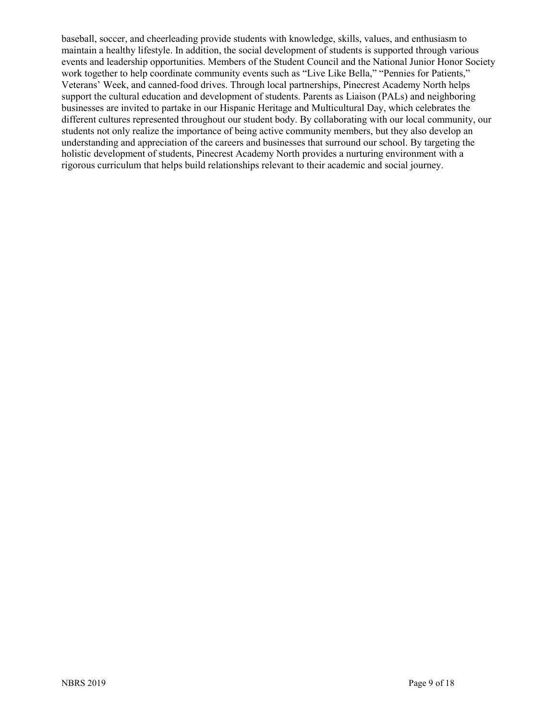baseball, soccer, and cheerleading provide students with knowledge, skills, values, and enthusiasm to maintain a healthy lifestyle. In addition, the social development of students is supported through various events and leadership opportunities. Members of the Student Council and the National Junior Honor Society work together to help coordinate community events such as "Live Like Bella," "Pennies for Patients," Veterans' Week, and canned-food drives. Through local partnerships, Pinecrest Academy North helps support the cultural education and development of students. Parents as Liaison (PALs) and neighboring businesses are invited to partake in our Hispanic Heritage and Multicultural Day, which celebrates the different cultures represented throughout our student body. By collaborating with our local community, our students not only realize the importance of being active community members, but they also develop an understanding and appreciation of the careers and businesses that surround our school. By targeting the holistic development of students, Pinecrest Academy North provides a nurturing environment with a rigorous curriculum that helps build relationships relevant to their academic and social journey.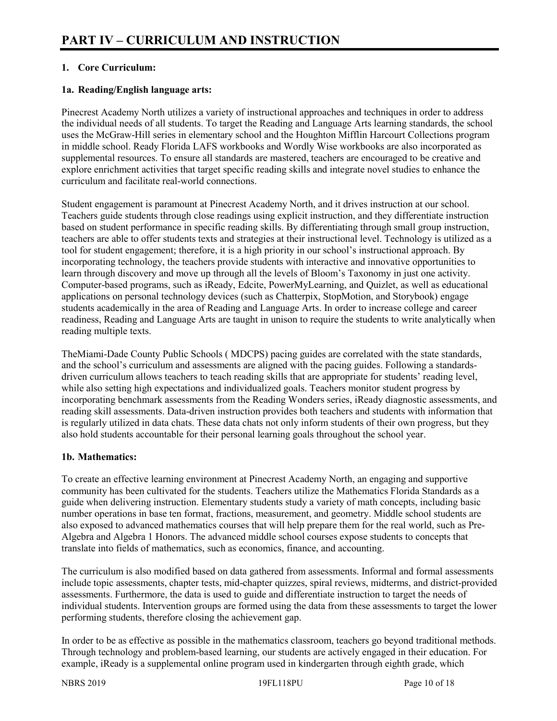# **1. Core Curriculum:**

## **1a. Reading/English language arts:**

Pinecrest Academy North utilizes a variety of instructional approaches and techniques in order to address the individual needs of all students. To target the Reading and Language Arts learning standards, the school uses the McGraw-Hill series in elementary school and the Houghton Mifflin Harcourt Collections program in middle school. Ready Florida LAFS workbooks and Wordly Wise workbooks are also incorporated as supplemental resources. To ensure all standards are mastered, teachers are encouraged to be creative and explore enrichment activities that target specific reading skills and integrate novel studies to enhance the curriculum and facilitate real-world connections.

Student engagement is paramount at Pinecrest Academy North, and it drives instruction at our school. Teachers guide students through close readings using explicit instruction, and they differentiate instruction based on student performance in specific reading skills. By differentiating through small group instruction, teachers are able to offer students texts and strategies at their instructional level. Technology is utilized as a tool for student engagement; therefore, it is a high priority in our school's instructional approach. By incorporating technology, the teachers provide students with interactive and innovative opportunities to learn through discovery and move up through all the levels of Bloom's Taxonomy in just one activity. Computer-based programs, such as iReady, Edcite, PowerMyLearning, and Quizlet, as well as educational applications on personal technology devices (such as Chatterpix, StopMotion, and Storybook) engage students academically in the area of Reading and Language Arts. In order to increase college and career readiness, Reading and Language Arts are taught in unison to require the students to write analytically when reading multiple texts.

TheMiami-Dade County Public Schools ( MDCPS) pacing guides are correlated with the state standards, and the school's curriculum and assessments are aligned with the pacing guides. Following a standardsdriven curriculum allows teachers to teach reading skills that are appropriate for students' reading level, while also setting high expectations and individualized goals. Teachers monitor student progress by incorporating benchmark assessments from the Reading Wonders series, iReady diagnostic assessments, and reading skill assessments. Data-driven instruction provides both teachers and students with information that is regularly utilized in data chats. These data chats not only inform students of their own progress, but they also hold students accountable for their personal learning goals throughout the school year.

#### **1b. Mathematics:**

To create an effective learning environment at Pinecrest Academy North, an engaging and supportive community has been cultivated for the students. Teachers utilize the Mathematics Florida Standards as a guide when delivering instruction. Elementary students study a variety of math concepts, including basic number operations in base ten format, fractions, measurement, and geometry. Middle school students are also exposed to advanced mathematics courses that will help prepare them for the real world, such as Pre-Algebra and Algebra 1 Honors. The advanced middle school courses expose students to concepts that translate into fields of mathematics, such as economics, finance, and accounting.

The curriculum is also modified based on data gathered from assessments. Informal and formal assessments include topic assessments, chapter tests, mid-chapter quizzes, spiral reviews, midterms, and district-provided assessments. Furthermore, the data is used to guide and differentiate instruction to target the needs of individual students. Intervention groups are formed using the data from these assessments to target the lower performing students, therefore closing the achievement gap.

In order to be as effective as possible in the mathematics classroom, teachers go beyond traditional methods. Through technology and problem-based learning, our students are actively engaged in their education. For example, iReady is a supplemental online program used in kindergarten through eighth grade, which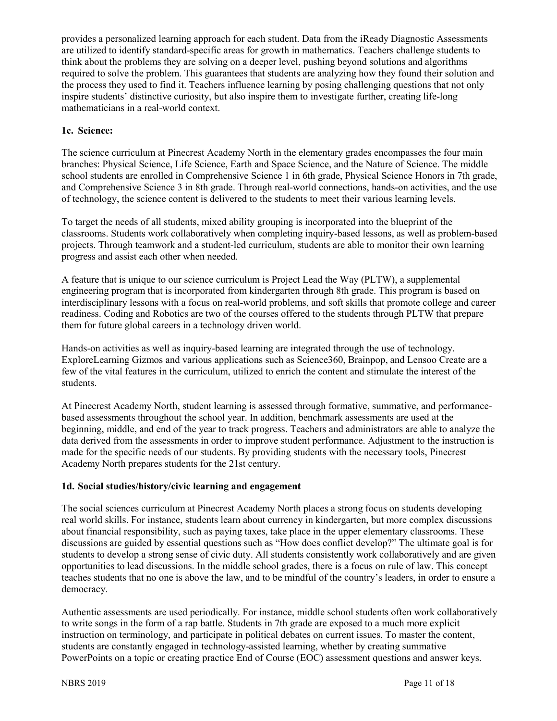provides a personalized learning approach for each student. Data from the iReady Diagnostic Assessments are utilized to identify standard-specific areas for growth in mathematics. Teachers challenge students to think about the problems they are solving on a deeper level, pushing beyond solutions and algorithms required to solve the problem. This guarantees that students are analyzing how they found their solution and the process they used to find it. Teachers influence learning by posing challenging questions that not only inspire students' distinctive curiosity, but also inspire them to investigate further, creating life-long mathematicians in a real-world context.

### **1c. Science:**

The science curriculum at Pinecrest Academy North in the elementary grades encompasses the four main branches: Physical Science, Life Science, Earth and Space Science, and the Nature of Science. The middle school students are enrolled in Comprehensive Science 1 in 6th grade, Physical Science Honors in 7th grade, and Comprehensive Science 3 in 8th grade. Through real-world connections, hands-on activities, and the use of technology, the science content is delivered to the students to meet their various learning levels.

To target the needs of all students, mixed ability grouping is incorporated into the blueprint of the classrooms. Students work collaboratively when completing inquiry-based lessons, as well as problem-based projects. Through teamwork and a student-led curriculum, students are able to monitor their own learning progress and assist each other when needed.

A feature that is unique to our science curriculum is Project Lead the Way (PLTW), a supplemental engineering program that is incorporated from kindergarten through 8th grade. This program is based on interdisciplinary lessons with a focus on real-world problems, and soft skills that promote college and career readiness. Coding and Robotics are two of the courses offered to the students through PLTW that prepare them for future global careers in a technology driven world.

Hands-on activities as well as inquiry-based learning are integrated through the use of technology. ExploreLearning Gizmos and various applications such as Science360, Brainpop, and Lensoo Create are a few of the vital features in the curriculum, utilized to enrich the content and stimulate the interest of the students.

At Pinecrest Academy North, student learning is assessed through formative, summative, and performancebased assessments throughout the school year. In addition, benchmark assessments are used at the beginning, middle, and end of the year to track progress. Teachers and administrators are able to analyze the data derived from the assessments in order to improve student performance. Adjustment to the instruction is made for the specific needs of our students. By providing students with the necessary tools, Pinecrest Academy North prepares students for the 21st century.

# **1d. Social studies/history/civic learning and engagement**

The social sciences curriculum at Pinecrest Academy North places a strong focus on students developing real world skills. For instance, students learn about currency in kindergarten, but more complex discussions about financial responsibility, such as paying taxes, take place in the upper elementary classrooms. These discussions are guided by essential questions such as "How does conflict develop?" The ultimate goal is for students to develop a strong sense of civic duty. All students consistently work collaboratively and are given opportunities to lead discussions. In the middle school grades, there is a focus on rule of law. This concept teaches students that no one is above the law, and to be mindful of the country's leaders, in order to ensure a democracy.

Authentic assessments are used periodically. For instance, middle school students often work collaboratively to write songs in the form of a rap battle. Students in 7th grade are exposed to a much more explicit instruction on terminology, and participate in political debates on current issues. To master the content, students are constantly engaged in technology-assisted learning, whether by creating summative PowerPoints on a topic or creating practice End of Course (EOC) assessment questions and answer keys.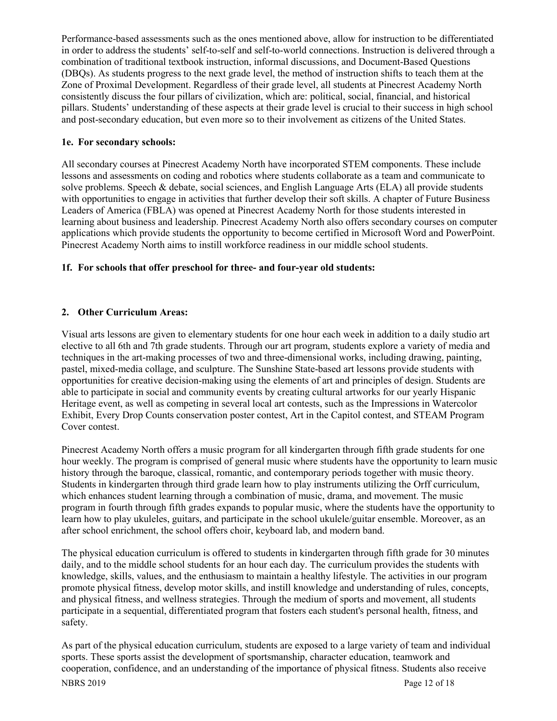Performance-based assessments such as the ones mentioned above, allow for instruction to be differentiated in order to address the students' self-to-self and self-to-world connections. Instruction is delivered through a combination of traditional textbook instruction, informal discussions, and Document-Based Questions (DBQs). As students progress to the next grade level, the method of instruction shifts to teach them at the Zone of Proximal Development. Regardless of their grade level, all students at Pinecrest Academy North consistently discuss the four pillars of civilization, which are: political, social, financial, and historical pillars. Students' understanding of these aspects at their grade level is crucial to their success in high school and post-secondary education, but even more so to their involvement as citizens of the United States.

### **1e. For secondary schools:**

All secondary courses at Pinecrest Academy North have incorporated STEM components. These include lessons and assessments on coding and robotics where students collaborate as a team and communicate to solve problems. Speech & debate, social sciences, and English Language Arts (ELA) all provide students with opportunities to engage in activities that further develop their soft skills. A chapter of Future Business Leaders of America (FBLA) was opened at Pinecrest Academy North for those students interested in learning about business and leadership. Pinecrest Academy North also offers secondary courses on computer applications which provide students the opportunity to become certified in Microsoft Word and PowerPoint. Pinecrest Academy North aims to instill workforce readiness in our middle school students.

# **1f. For schools that offer preschool for three- and four-year old students:**

# **2. Other Curriculum Areas:**

Visual arts lessons are given to elementary students for one hour each week in addition to a daily studio art elective to all 6th and 7th grade students. Through our art program, students explore a variety of media and techniques in the art-making processes of two and three-dimensional works, including drawing, painting, pastel, mixed-media collage, and sculpture. The Sunshine State-based art lessons provide students with opportunities for creative decision-making using the elements of art and principles of design. Students are able to participate in social and community events by creating cultural artworks for our yearly Hispanic Heritage event, as well as competing in several local art contests, such as the Impressions in Watercolor Exhibit, Every Drop Counts conservation poster contest, Art in the Capitol contest, and STEAM Program Cover contest.

Pinecrest Academy North offers a music program for all kindergarten through fifth grade students for one hour weekly. The program is comprised of general music where students have the opportunity to learn music history through the baroque, classical, romantic, and contemporary periods together with music theory. Students in kindergarten through third grade learn how to play instruments utilizing the Orff curriculum, which enhances student learning through a combination of music, drama, and movement. The music program in fourth through fifth grades expands to popular music, where the students have the opportunity to learn how to play ukuleles, guitars, and participate in the school ukulele/guitar ensemble. Moreover, as an after school enrichment, the school offers choir, keyboard lab, and modern band.

The physical education curriculum is offered to students in kindergarten through fifth grade for 30 minutes daily, and to the middle school students for an hour each day. The curriculum provides the students with knowledge, skills, values, and the enthusiasm to maintain a healthy lifestyle. The activities in our program promote physical fitness, develop motor skills, and instill knowledge and understanding of rules, concepts, and physical fitness, and wellness strategies. Through the medium of sports and movement, all students participate in a sequential, differentiated program that fosters each student's personal health, fitness, and safety.

As part of the physical education curriculum, students are exposed to a large variety of team and individual sports. These sports assist the development of sportsmanship, character education, teamwork and cooperation, confidence, and an understanding of the importance of physical fitness. Students also receive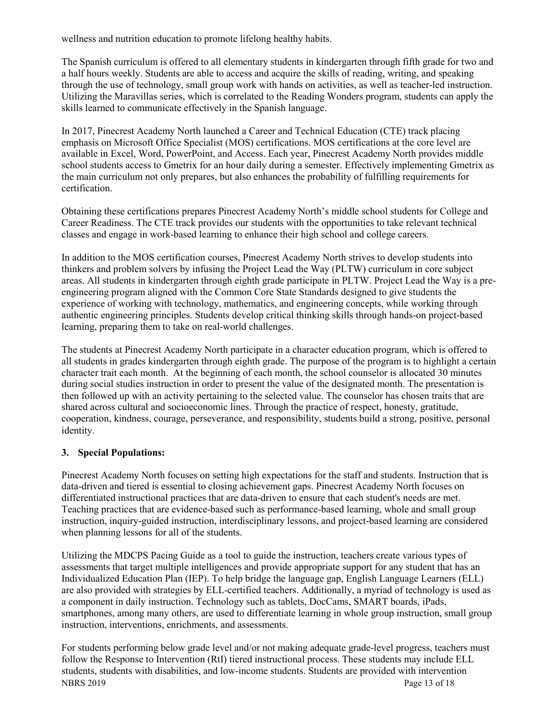wellness and nutrition education to promote lifelong healthy habits.

The Spanish curriculum is offered to all elementary students in kindergarten through fifth grade for two and a half hours weekly. Students are able to access and acquire the skills of reading, writing, and speaking through the use of technology, small group work with hands on activities, as well as teacher-led instruction. Utilizing the Maravillas series, which is correlated to the Reading Wonders program, students can apply the skills learned to communicate effectively in the Spanish language.

In 2017, Pinecrest Academy North launched a Career and Technical Education (CTE) track placing emphasis on Microsoft Office Specialist (MOS) certifications. MOS certifications at the core level are available in Excel, Word, PowerPoint, and Access. Each year, Pinecrest Academy North provides middle school students access to Gmetrix for an hour daily during a semester. Effectively implementing Gmetrix as the main curriculum not only prepares, but also enhances the probability of fulfilling requirements for certification.

Obtaining these certifications prepares Pinecrest Academy North's middle school students for College and Career Readiness. The CTE track provides our students with the opportunities to take relevant technical classes and engage in work-based learning to enhance their high school and college careers.

In addition to the MOS certification courses, Pinecrest Academy North strives to develop students into thinkers and problem solvers by infusing the Project Lead the Way (PLTW) curriculum in core subject areas. All students in kindergarten through eighth grade participate in PLTW. Project Lead the Way is a preengineering program aligned with the Common Core State Standards designed to give students the experience of working with technology, mathematics, and engineering concepts, while working through authentic engineering principles. Students develop critical thinking skills through hands-on project-based learning, preparing them to take on real-world challenges.

The students at Pinecrest Academy North participate in a character education program, which is offered to all students in grades kindergarten through eighth grade. The purpose of the program is to highlight a certain character trait each month. At the beginning of each month, the school counselor is allocated 30 minutes during social studies instruction in order to present the value of the designated month. The presentation is then followed up with an activity pertaining to the selected value. The counselor has chosen traits that are shared across cultural and socioeconomic lines. Through the practice of respect, honesty, gratitude, cooperation, kindness, courage, perseverance, and responsibility, students build a strong, positive, personal identity.

# **3. Special Populations:**

Pinecrest Academy North focuses on setting high expectations for the staff and students. Instruction that is data-driven and tiered is essential to closing achievement gaps. Pinecrest Academy North focuses on differentiated instructional practices that are data-driven to ensure that each student's needs are met. Teaching practices that are evidence-based such as performance-based learning, whole and small group instruction, inquiry-guided instruction, interdisciplinary lessons, and project-based learning are considered when planning lessons for all of the students.

Utilizing the MDCPS Pacing Guide as a tool to guide the instruction, teachers create various types of assessments that target multiple intelligences and provide appropriate support for any student that has an Individualized Education Plan (IEP). To help bridge the language gap, English Language Learners (ELL) are also provided with strategies by ELL-certified teachers. Additionally, a myriad of technology is used as a component in daily instruction. Technology such as tablets, DocCams, SMART boards, iPads, smartphones, among many others, are used to differentiate learning in whole group instruction, small group instruction, interventions, enrichments, and assessments.

NBRS 2019 Page 13 of 18 For students performing below grade level and/or not making adequate grade-level progress, teachers must follow the Response to Intervention (RtI) tiered instructional process. These students may include ELL students, students with disabilities, and low-income students. Students are provided with intervention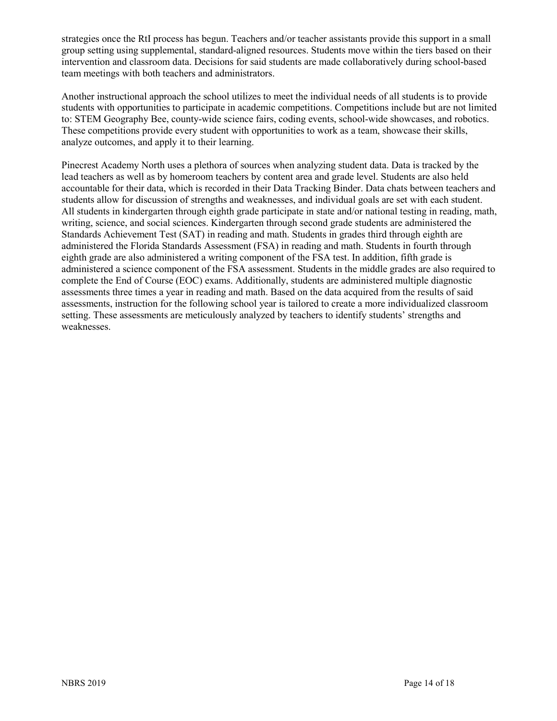strategies once the RtI process has begun. Teachers and/or teacher assistants provide this support in a small group setting using supplemental, standard-aligned resources. Students move within the tiers based on their intervention and classroom data. Decisions for said students are made collaboratively during school-based team meetings with both teachers and administrators.

Another instructional approach the school utilizes to meet the individual needs of all students is to provide students with opportunities to participate in academic competitions. Competitions include but are not limited to: STEM Geography Bee, county-wide science fairs, coding events, school-wide showcases, and robotics. These competitions provide every student with opportunities to work as a team, showcase their skills, analyze outcomes, and apply it to their learning.

Pinecrest Academy North uses a plethora of sources when analyzing student data. Data is tracked by the lead teachers as well as by homeroom teachers by content area and grade level. Students are also held accountable for their data, which is recorded in their Data Tracking Binder. Data chats between teachers and students allow for discussion of strengths and weaknesses, and individual goals are set with each student. All students in kindergarten through eighth grade participate in state and/or national testing in reading, math, writing, science, and social sciences. Kindergarten through second grade students are administered the Standards Achievement Test (SAT) in reading and math. Students in grades third through eighth are administered the Florida Standards Assessment (FSA) in reading and math. Students in fourth through eighth grade are also administered a writing component of the FSA test. In addition, fifth grade is administered a science component of the FSA assessment. Students in the middle grades are also required to complete the End of Course (EOC) exams. Additionally, students are administered multiple diagnostic assessments three times a year in reading and math. Based on the data acquired from the results of said assessments, instruction for the following school year is tailored to create a more individualized classroom setting. These assessments are meticulously analyzed by teachers to identify students' strengths and weaknesses.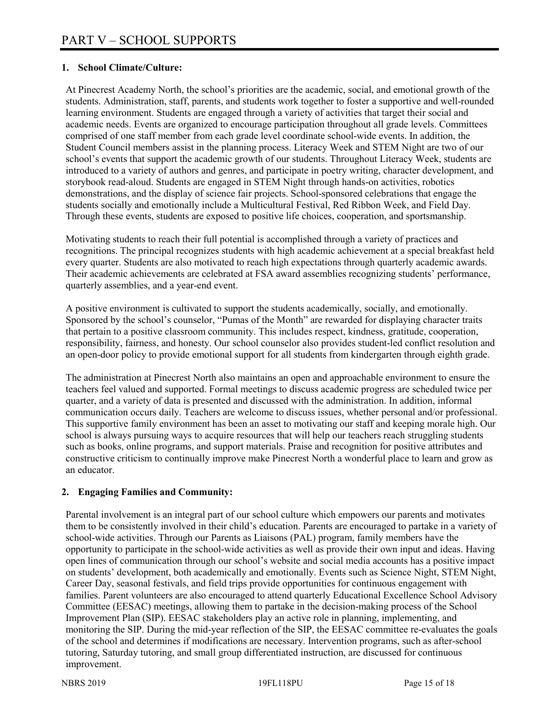## **1. School Climate/Culture:**

At Pinecrest Academy North, the school's priorities are the academic, social, and emotional growth of the students. Administration, staff, parents, and students work together to foster a supportive and well-rounded learning environment. Students are engaged through a variety of activities that target their social and academic needs. Events are organized to encourage participation throughout all grade levels. Committees comprised of one staff member from each grade level coordinate school-wide events. In addition, the Student Council members assist in the planning process. Literacy Week and STEM Night are two of our school's events that support the academic growth of our students. Throughout Literacy Week, students are introduced to a variety of authors and genres, and participate in poetry writing, character development, and storybook read-aloud. Students are engaged in STEM Night through hands-on activities, robotics demonstrations, and the display of science fair projects. School-sponsored celebrations that engage the students socially and emotionally include a Multicultural Festival, Red Ribbon Week, and Field Day. Through these events, students are exposed to positive life choices, cooperation, and sportsmanship.

Motivating students to reach their full potential is accomplished through a variety of practices and recognitions. The principal recognizes students with high academic achievement at a special breakfast held every quarter. Students are also motivated to reach high expectations through quarterly academic awards. Their academic achievements are celebrated at FSA award assemblies recognizing students' performance, quarterly assemblies, and a year-end event.

A positive environment is cultivated to support the students academically, socially, and emotionally. Sponsored by the school's counselor, "Pumas of the Month" are rewarded for displaying character traits that pertain to a positive classroom community. This includes respect, kindness, gratitude, cooperation, responsibility, fairness, and honesty. Our school counselor also provides student-led conflict resolution and an open-door policy to provide emotional support for all students from kindergarten through eighth grade.

The administration at Pinecrest North also maintains an open and approachable environment to ensure the teachers feel valued and supported. Formal meetings to discuss academic progress are scheduled twice per quarter, and a variety of data is presented and discussed with the administration. In addition, informal communication occurs daily. Teachers are welcome to discuss issues, whether personal and/or professional. This supportive family environment has been an asset to motivating our staff and keeping morale high. Our school is always pursuing ways to acquire resources that will help our teachers reach struggling students such as books, online programs, and support materials. Praise and recognition for positive attributes and constructive criticism to continually improve make Pinecrest North a wonderful place to learn and grow as an educator.

# **2. Engaging Families and Community:**

Parental involvement is an integral part of our school culture which empowers our parents and motivates them to be consistently involved in their child's education. Parents are encouraged to partake in a variety of school-wide activities. Through our Parents as Liaisons (PAL) program, family members have the opportunity to participate in the school-wide activities as well as provide their own input and ideas. Having open lines of communication through our school's website and social media accounts has a positive impact on students' development, both academically and emotionally. Events such as Science Night, STEM Night, Career Day, seasonal festivals, and field trips provide opportunities for continuous engagement with families. Parent volunteers are also encouraged to attend quarterly Educational Excellence School Advisory Committee (EESAC) meetings, allowing them to partake in the decision-making process of the School Improvement Plan (SIP). EESAC stakeholders play an active role in planning, implementing, and monitoring the SIP. During the mid-year reflection of the SIP, the EESAC committee re-evaluates the goals of the school and determines if modifications are necessary. Intervention programs, such as after-school tutoring, Saturday tutoring, and small group differentiated instruction, are discussed for continuous improvement.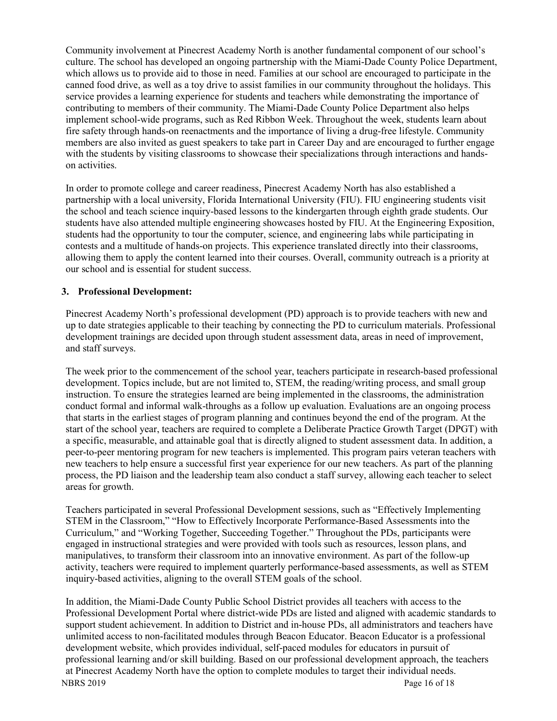Community involvement at Pinecrest Academy North is another fundamental component of our school's culture. The school has developed an ongoing partnership with the Miami-Dade County Police Department, which allows us to provide aid to those in need. Families at our school are encouraged to participate in the canned food drive, as well as a toy drive to assist families in our community throughout the holidays. This service provides a learning experience for students and teachers while demonstrating the importance of contributing to members of their community. The Miami-Dade County Police Department also helps implement school-wide programs, such as Red Ribbon Week. Throughout the week, students learn about fire safety through hands-on reenactments and the importance of living a drug-free lifestyle. Community members are also invited as guest speakers to take part in Career Day and are encouraged to further engage with the students by visiting classrooms to showcase their specializations through interactions and handson activities.

In order to promote college and career readiness, Pinecrest Academy North has also established a partnership with a local university, Florida International University (FIU). FIU engineering students visit the school and teach science inquiry-based lessons to the kindergarten through eighth grade students. Our students have also attended multiple engineering showcases hosted by FIU. At the Engineering Exposition, students had the opportunity to tour the computer, science, and engineering labs while participating in contests and a multitude of hands-on projects. This experience translated directly into their classrooms, allowing them to apply the content learned into their courses. Overall, community outreach is a priority at our school and is essential for student success.

#### **3. Professional Development:**

Pinecrest Academy North's professional development (PD) approach is to provide teachers with new and up to date strategies applicable to their teaching by connecting the PD to curriculum materials. Professional development trainings are decided upon through student assessment data, areas in need of improvement, and staff surveys.

The week prior to the commencement of the school year, teachers participate in research-based professional development. Topics include, but are not limited to, STEM, the reading/writing process, and small group instruction. To ensure the strategies learned are being implemented in the classrooms, the administration conduct formal and informal walk-throughs as a follow up evaluation. Evaluations are an ongoing process that starts in the earliest stages of program planning and continues beyond the end of the program. At the start of the school year, teachers are required to complete a Deliberate Practice Growth Target (DPGT) with a specific, measurable, and attainable goal that is directly aligned to student assessment data. In addition, a peer-to-peer mentoring program for new teachers is implemented. This program pairs veteran teachers with new teachers to help ensure a successful first year experience for our new teachers. As part of the planning process, the PD liaison and the leadership team also conduct a staff survey, allowing each teacher to select areas for growth.

Teachers participated in several Professional Development sessions, such as "Effectively Implementing STEM in the Classroom," "How to Effectively Incorporate Performance-Based Assessments into the Curriculum," and "Working Together, Succeeding Together." Throughout the PDs, participants were engaged in instructional strategies and were provided with tools such as resources, lesson plans, and manipulatives, to transform their classroom into an innovative environment. As part of the follow-up activity, teachers were required to implement quarterly performance-based assessments, as well as STEM inquiry-based activities, aligning to the overall STEM goals of the school.

NBRS 2019 Page 16 of 18 In addition, the Miami-Dade County Public School District provides all teachers with access to the Professional Development Portal where district-wide PDs are listed and aligned with academic standards to support student achievement. In addition to District and in-house PDs, all administrators and teachers have unlimited access to non-facilitated modules through Beacon Educator. Beacon Educator is a professional development website, which provides individual, self-paced modules for educators in pursuit of professional learning and/or skill building. Based on our professional development approach, the teachers at Pinecrest Academy North have the option to complete modules to target their individual needs.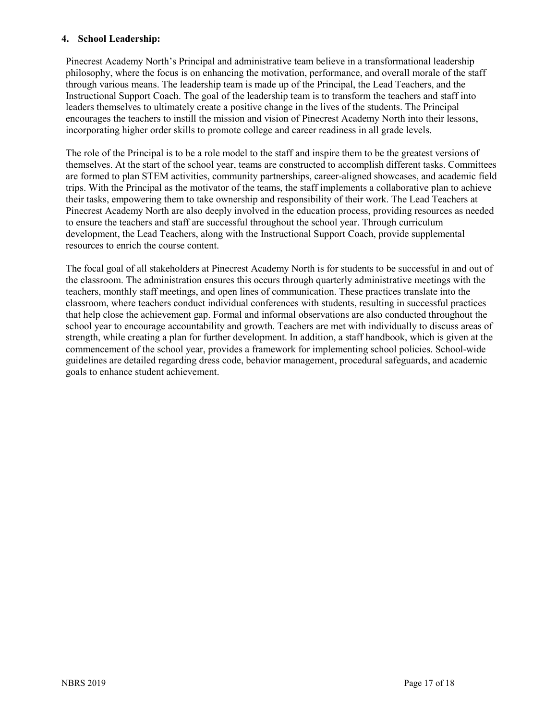### **4. School Leadership:**

Pinecrest Academy North's Principal and administrative team believe in a transformational leadership philosophy, where the focus is on enhancing the motivation, performance, and overall morale of the staff through various means. The leadership team is made up of the Principal, the Lead Teachers, and the Instructional Support Coach. The goal of the leadership team is to transform the teachers and staff into leaders themselves to ultimately create a positive change in the lives of the students. The Principal encourages the teachers to instill the mission and vision of Pinecrest Academy North into their lessons, incorporating higher order skills to promote college and career readiness in all grade levels.

The role of the Principal is to be a role model to the staff and inspire them to be the greatest versions of themselves. At the start of the school year, teams are constructed to accomplish different tasks. Committees are formed to plan STEM activities, community partnerships, career-aligned showcases, and academic field trips. With the Principal as the motivator of the teams, the staff implements a collaborative plan to achieve their tasks, empowering them to take ownership and responsibility of their work. The Lead Teachers at Pinecrest Academy North are also deeply involved in the education process, providing resources as needed to ensure the teachers and staff are successful throughout the school year. Through curriculum development, the Lead Teachers, along with the Instructional Support Coach, provide supplemental resources to enrich the course content.

The focal goal of all stakeholders at Pinecrest Academy North is for students to be successful in and out of the classroom. The administration ensures this occurs through quarterly administrative meetings with the teachers, monthly staff meetings, and open lines of communication. These practices translate into the classroom, where teachers conduct individual conferences with students, resulting in successful practices that help close the achievement gap. Formal and informal observations are also conducted throughout the school year to encourage accountability and growth. Teachers are met with individually to discuss areas of strength, while creating a plan for further development. In addition, a staff handbook, which is given at the commencement of the school year, provides a framework for implementing school policies. School-wide guidelines are detailed regarding dress code, behavior management, procedural safeguards, and academic goals to enhance student achievement.